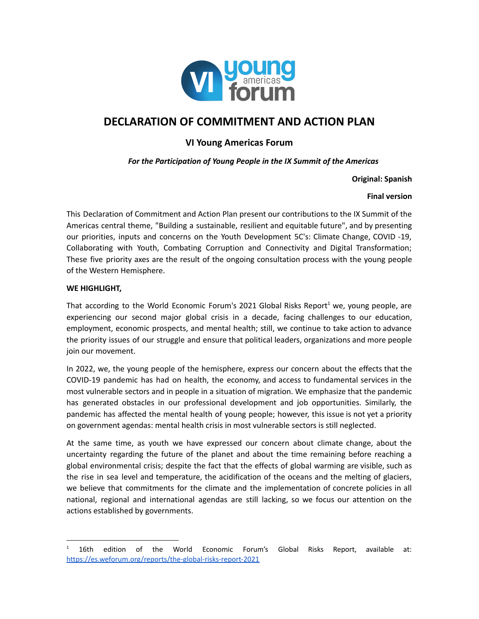

# **DECLARATION OF COMMITMENT AND ACTION PLAN**

## **VI Young Americas Forum**

*For the Participation of Young People in the IX Summit of the Americas*

**Original: Spanish**

#### **Final version**

This Declaration of Commitment and Action Plan present our contributions to the IX Summit of the Americas central theme, "Building a sustainable, resilient and equitable future", and by presenting our priorities, inputs and concerns on the Youth Development 5C's: Climate Change, COVID -19, Collaborating with Youth, Combating Corruption and Connectivity and Digital Transformation; These five priority axes are the result of the ongoing consultation process with the young people of the Western Hemisphere.

#### **WE HIGHLIGHT,**

That according to the World Economic Forum's 2021 Global Risks Report<sup>1</sup> we, young people, are experiencing our second major global crisis in a decade, facing challenges to our education, employment, economic prospects, and mental health; still, we continue to take action to advance the priority issues of our struggle and ensure that political leaders, organizations and more people join our movement.

In 2022, we, the young people of the hemisphere, express our concern about the effects that the COVID-19 pandemic has had on health, the economy, and access to fundamental services in the most vulnerable sectors and in people in a situation of migration. We emphasize that the pandemic has generated obstacles in our professional development and job opportunities. Similarly, the pandemic has affected the mental health of young people; however, this issue is not yet a priority on government agendas: mental health crisis in most vulnerable sectors is still neglected.

At the same time, as youth we have expressed our concern about climate change, about the uncertainty regarding the future of the planet and about the time remaining before reaching a global environmental crisis; despite the fact that the effects of global warming are visible, such as the rise in sea level and temperature, the acidification of the oceans and the melting of glaciers, we believe that commitments for the climate and the implementation of concrete policies in all national, regional and international agendas are still lacking, so we focus our attention on the actions established by governments.

 $1$  16th edition of the World Economic Forum's Global Risks Report, available at: <https://es.weforum.org/reports/the-global-risks-report-2021>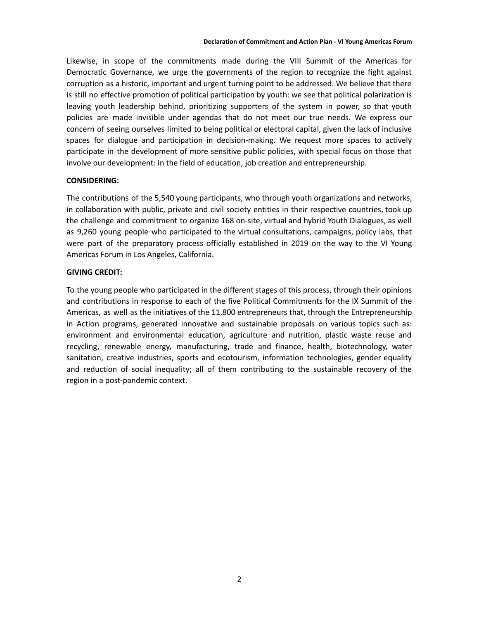Likewise, in scope of the commitments made during the VIII Summit of the Americas for Democratic Governance, we urge the governments of the region to recognize the fight against corruption as a historic, important and urgent turning point to be addressed. We believe that there is still no effective promotion of political participation by youth: we see that political polarization is leaving youth leadership behind, prioritizing supporters of the system in power, so that youth policies are made invisible under agendas that do not meet our true needs. We express our concern of seeing ourselves limited to being political or electoral capital, given the lack of inclusive spaces for dialogue and participation in decision-making. We request more spaces to actively participate in the development of more sensitive public policies, with special focus on those that involve our development: in the field of education, job creation and entrepreneurship.

#### **CONSIDERING:**

The contributions of the 5,540 young participants, who through youth organizations and networks, in collaboration with public, private and civil society entities in their respective countries, took up the challenge and commitment to organize 168 on-site, virtual and hybrid Youth Dialogues, as well as 9,260 young people who participated to the virtual consultations, campaigns, policy labs, that were part of the preparatory process officially established in 2019 on the way to the VI Young Americas Forum in Los Angeles, California.

#### **GIVING CREDIT:**

To the young people who participated in the different stages of this process, through their opinions and contributions in response to each of the five Political Commitments for the IX Summit of the Americas, as well as the initiatives of the 11,800 entrepreneurs that, through the Entrepreneurship in Action programs, generated innovative and sustainable proposals on various topics such as: environment and environmental education, agriculture and nutrition, plastic waste reuse and recycling, renewable energy, manufacturing, trade and finance, health, biotechnology, water sanitation, creative industries, sports and ecotourism, information technologies, gender equality and reduction of social inequality; all of them contributing to the sustainable recovery of the region in a post-pandemic context.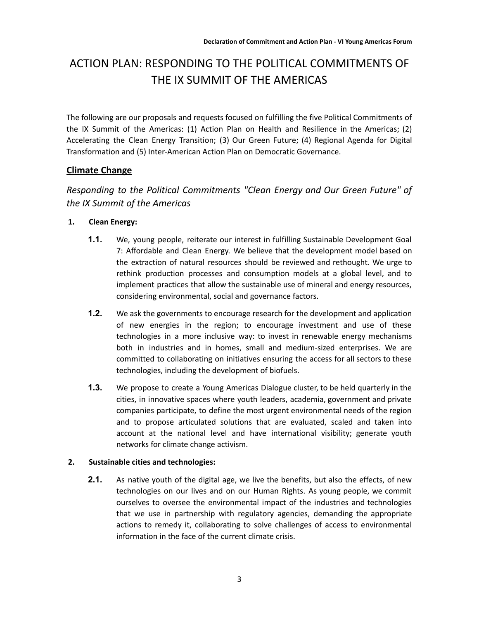# ACTION PLAN: RESPONDING TO THE POLITICAL COMMITMENTS OF THE IX SUMMIT OF THE AMERICAS

The following are our proposals and requests focused on fulfilling the five Political Commitments of the IX Summit of the Americas: (1) Action Plan on Health and Resilience in the Americas; (2) Accelerating the Clean Energy Transition; (3) Our Green Future; (4) Regional Agenda for Digital Transformation and (5) Inter-American Action Plan on Democratic Governance.

## **Climate Change**

## *Responding to the Political Commitments "Clean Energy and Our Green Future" of the IX Summit of the Americas*

## **1. Clean Energy:**

- **1.1.** We, young people, reiterate our interest in fulfilling Sustainable Development Goal 7: Affordable and Clean Energy. We believe that the development model based on the extraction of natural resources should be reviewed and rethought. We urge to rethink production processes and consumption models at a global level, and to implement practices that allow the sustainable use of mineral and energy resources, considering environmental, social and governance factors.
- **1.2.** We ask the governments to encourage research for the development and application of new energies in the region; to encourage investment and use of these technologies in a more inclusive way: to invest in renewable energy mechanisms both in industries and in homes, small and medium-sized enterprises. We are committed to collaborating on initiatives ensuring the access for all sectors to these technologies, including the development of biofuels.
- **1.3.** We propose to create a Young Americas Dialogue cluster, to be held quarterly in the cities, in innovative spaces where youth leaders, academia, government and private companies participate, to define the most urgent environmental needs of the region and to propose articulated solutions that are evaluated, scaled and taken into account at the national level and have international visibility; generate youth networks for climate change activism.

## **2. Sustainable cities and technologies:**

**2.1.** As native youth of the digital age, we live the benefits, but also the effects, of new technologies on our lives and on our Human Rights. As young people, we commit ourselves to oversee the environmental impact of the industries and technologies that we use in partnership with regulatory agencies, demanding the appropriate actions to remedy it, collaborating to solve challenges of access to environmental information in the face of the current climate crisis.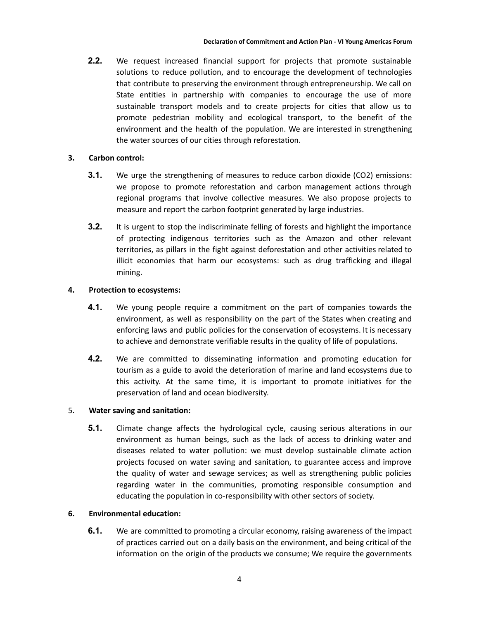**2.2.** We request increased financial support for projects that promote sustainable solutions to reduce pollution, and to encourage the development of technologies that contribute to preserving the environment through entrepreneurship. We call on State entities in partnership with companies to encourage the use of more sustainable transport models and to create projects for cities that allow us to promote pedestrian mobility and ecological transport, to the benefit of the environment and the health of the population. We are interested in strengthening the water sources of our cities through reforestation.

#### **3. Carbon control:**

- **3.1.** We urge the strengthening of measures to reduce carbon dioxide (CO2) emissions: we propose to promote reforestation and carbon management actions through regional programs that involve collective measures. We also propose projects to measure and report the carbon footprint generated by large industries.
- **3.2.** It is urgent to stop the indiscriminate felling of forests and highlight the importance of protecting indigenous territories such as the Amazon and other relevant territories, as pillars in the fight against deforestation and other activities related to illicit economies that harm our ecosystems: such as drug trafficking and illegal mining.

#### **4. Protection to ecosystems:**

- **4.1.** We young people require a commitment on the part of companies towards the environment, as well as responsibility on the part of the States when creating and enforcing laws and public policies for the conservation of ecosystems. It is necessary to achieve and demonstrate verifiable results in the quality of life of populations.
- **4.2.** We are committed to disseminating information and promoting education for tourism as a guide to avoid the deterioration of marine and land ecosystems due to this activity. At the same time, it is important to promote initiatives for the preservation of land and ocean biodiversity.

#### 5. **Water saving and sanitation:**

**5.1.** Climate change affects the hydrological cycle, causing serious alterations in our environment as human beings, such as the lack of access to drinking water and diseases related to water pollution: we must develop sustainable climate action projects focused on water saving and sanitation, to guarantee access and improve the quality of water and sewage services; as well as strengthening public policies regarding water in the communities, promoting responsible consumption and educating the population in co-responsibility with other sectors of society.

#### **6. Environmental education:**

**6.1.** We are committed to promoting a circular economy, raising awareness of the impact of practices carried out on a daily basis on the environment, and being critical of the information on the origin of the products we consume; We require the governments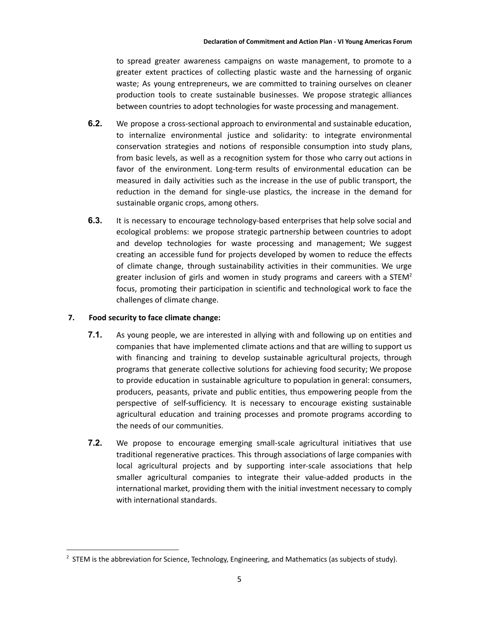to spread greater awareness campaigns on waste management, to promote to a greater extent practices of collecting plastic waste and the harnessing of organic waste; As young entrepreneurs, we are committed to training ourselves on cleaner production tools to create sustainable businesses. We propose strategic alliances between countries to adopt technologies for waste processing and management.

- **6.2.** We propose a cross-sectional approach to environmental and sustainable education, to internalize environmental justice and solidarity: to integrate environmental conservation strategies and notions of responsible consumption into study plans, from basic levels, as well as a recognition system for those who carry out actions in favor of the environment. Long-term results of environmental education can be measured in daily activities such as the increase in the use of public transport, the reduction in the demand for single-use plastics, the increase in the demand for sustainable organic crops, among others.
- **6.3.** It is necessary to encourage technology-based enterprises that help solve social and ecological problems: we propose strategic partnership between countries to adopt and develop technologies for waste processing and management; We suggest creating an accessible fund for projects developed by women to reduce the effects of climate change, through sustainability activities in their communities. We urge greater inclusion of girls and women in study programs and careers with a STEM<sup>2</sup> focus, promoting their participation in scientific and technological work to face the challenges of climate change.

## **7. Food security to face climate change:**

- **7.1.** As young people, we are interested in allying with and following up on entities and companies that have implemented climate actions and that are willing to support us with financing and training to develop sustainable agricultural projects, through programs that generate collective solutions for achieving food security; We propose to provide education in sustainable agriculture to population in general: consumers, producers, peasants, private and public entities, thus empowering people from the perspective of self-sufficiency. It is necessary to encourage existing sustainable agricultural education and training processes and promote programs according to the needs of our communities.
- **7.2.** We propose to encourage emerging small-scale agricultural initiatives that use traditional regenerative practices. This through associations of large companies with local agricultural projects and by supporting inter-scale associations that help smaller agricultural companies to integrate their value-added products in the international market, providing them with the initial investment necessary to comply with international standards.

<sup>&</sup>lt;sup>2</sup> STEM is the abbreviation for Science, Technology, Engineering, and Mathematics (as subjects of study).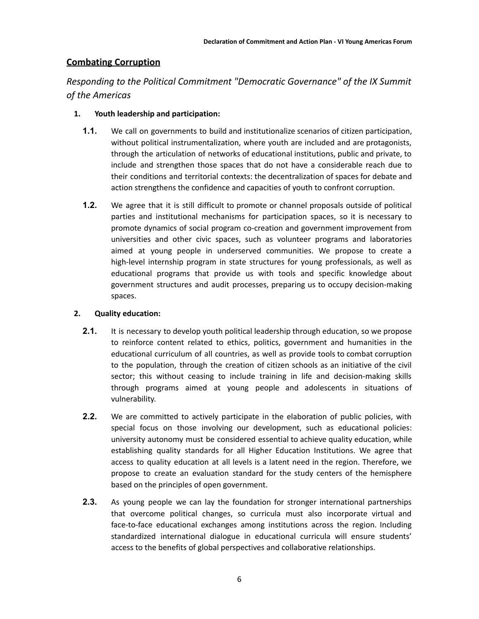## **Combating Corruption**

*Responding to the Political Commitment "Democratic Governance" of the IX Summit of the Americas*

## **1. Youth leadership and participation:**

- **1.1.** We call on governments to build and institutionalize scenarios of citizen participation, without political instrumentalization, where youth are included and are protagonists, through the articulation of networks of educational institutions, public and private, to include and strengthen those spaces that do not have a considerable reach due to their conditions and territorial contexts: the decentralization of spaces for debate and action strengthens the confidence and capacities of youth to confront corruption.
- **1.2.** We agree that it is still difficult to promote or channel proposals outside of political parties and institutional mechanisms for participation spaces, so it is necessary to promote dynamics of social program co-creation and government improvement from universities and other civic spaces, such as volunteer programs and laboratories aimed at young people in underserved communities. We propose to create a high-level internship program in state structures for young professionals, as well as educational programs that provide us with tools and specific knowledge about government structures and audit processes, preparing us to occupy decision-making spaces.

## **2. Quality education:**

- **2.1.** It is necessary to develop youth political leadership through education, so we propose to reinforce content related to ethics, politics, government and humanities in the educational curriculum of all countries, as well as provide tools to combat corruption to the population, through the creation of citizen schools as an initiative of the civil sector; this without ceasing to include training in life and decision-making skills through programs aimed at young people and adolescents in situations of vulnerability.
- **2.2.** We are committed to actively participate in the elaboration of public policies, with special focus on those involving our development, such as educational policies: university autonomy must be considered essential to achieve quality education, while establishing quality standards for all Higher Education Institutions. We agree that access to quality education at all levels is a latent need in the region. Therefore, we propose to create an evaluation standard for the study centers of the hemisphere based on the principles of open government.
- **2.3.** As young people we can lay the foundation for stronger international partnerships that overcome political changes, so curricula must also incorporate virtual and face-to-face educational exchanges among institutions across the region. Including standardized international dialogue in educational curricula will ensure students' access to the benefits of global perspectives and collaborative relationships.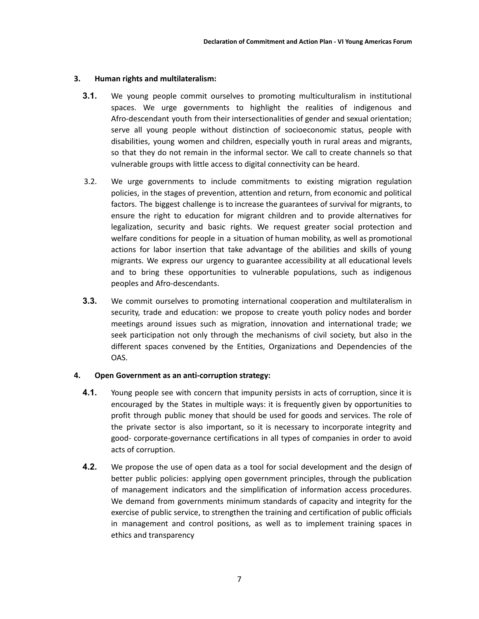#### **3. Human rights and multilateralism:**

- **3.1.** We young people commit ourselves to promoting multiculturalism in institutional spaces. We urge governments to highlight the realities of indigenous and Afro-descendant youth from their intersectionalities of gender and sexual orientation; serve all young people without distinction of socioeconomic status, people with disabilities, young women and children, especially youth in rural areas and migrants, so that they do not remain in the informal sector. We call to create channels so that vulnerable groups with little access to digital connectivity can be heard.
- 3.2. We urge governments to include commitments to existing migration regulation policies, in the stages of prevention, attention and return, from economic and political factors. The biggest challenge is to increase the guarantees of survival for migrants, to ensure the right to education for migrant children and to provide alternatives for legalization, security and basic rights. We request greater social protection and welfare conditions for people in a situation of human mobility, as well as promotional actions for labor insertion that take advantage of the abilities and skills of young migrants. We express our urgency to guarantee accessibility at all educational levels and to bring these opportunities to vulnerable populations, such as indigenous peoples and Afro-descendants.
- **3.3.** We commit ourselves to promoting international cooperation and multilateralism in security, trade and education: we propose to create youth policy nodes and border meetings around issues such as migration, innovation and international trade; we seek participation not only through the mechanisms of civil society, but also in the different spaces convened by the Entities, Organizations and Dependencies of the OAS.

#### **4. Open Government as an anti-corruption strategy:**

- **4.1.** Young people see with concern that impunity persists in acts of corruption, since it is encouraged by the States in multiple ways: it is frequently given by opportunities to profit through public money that should be used for goods and services. The role of the private sector is also important, so it is necessary to incorporate integrity and good- corporate-governance certifications in all types of companies in order to avoid acts of corruption.
- **4.2.** We propose the use of open data as a tool for social development and the design of better public policies: applying open government principles, through the publication of management indicators and the simplification of information access procedures. We demand from governments minimum standards of capacity and integrity for the exercise of public service, to strengthen the training and certification of public officials in management and control positions, as well as to implement training spaces in ethics and transparency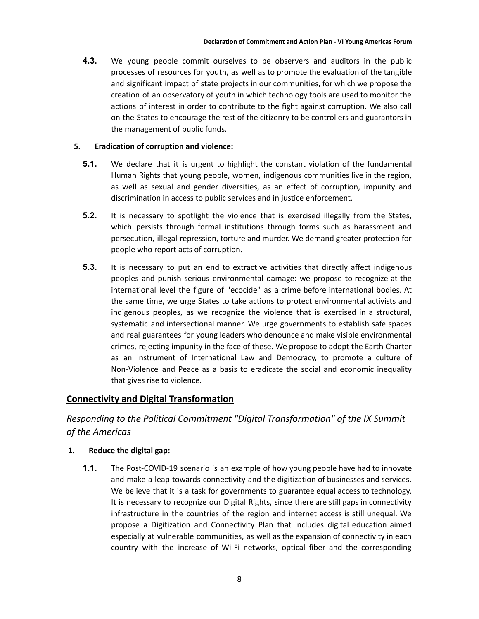**4.3.** We young people commit ourselves to be observers and auditors in the public processes of resources for youth, as well as to promote the evaluation of the tangible and significant impact of state projects in our communities, for which we propose the creation of an observatory of youth in which technology tools are used to monitor the actions of interest in order to contribute to the fight against corruption. We also call on the States to encourage the rest of the citizenry to be controllers and guarantors in the management of public funds.

#### **5. Eradication of corruption and violence:**

- **5.1.** We declare that it is urgent to highlight the constant violation of the fundamental Human Rights that young people, women, indigenous communities live in the region, as well as sexual and gender diversities, as an effect of corruption, impunity and discrimination in access to public services and in justice enforcement.
- **5.2.** It is necessary to spotlight the violence that is exercised illegally from the States, which persists through formal institutions through forms such as harassment and persecution, illegal repression, torture and murder. We demand greater protection for people who report acts of corruption.
- **5.3.** It is necessary to put an end to extractive activities that directly affect indigenous peoples and punish serious environmental damage: we propose to recognize at the international level the figure of "ecocide" as a crime before international bodies. At the same time, we urge States to take actions to protect environmental activists and indigenous peoples, as we recognize the violence that is exercised in a structural, systematic and intersectional manner. We urge governments to establish safe spaces and real guarantees for young leaders who denounce and make visible environmental crimes, rejecting impunity in the face of these. We propose to adopt the Earth Charter as an instrument of International Law and Democracy, to promote a culture of Non-Violence and Peace as a basis to eradicate the social and economic inequality that gives rise to violence.

## **Connectivity and Digital Transformation**

*Responding to the Political Commitment "Digital Transformation" of the IX Summit of the Americas*

## **1. Reduce the digital gap:**

**1.1.** The Post-COVID-19 scenario is an example of how young people have had to innovate and make a leap towards connectivity and the digitization of businesses and services. We believe that it is a task for governments to guarantee equal access to technology. It is necessary to recognize our Digital Rights, since there are still gaps in connectivity infrastructure in the countries of the region and internet access is still unequal. We propose a Digitization and Connectivity Plan that includes digital education aimed especially at vulnerable communities, as well as the expansion of connectivity in each country with the increase of Wi-Fi networks, optical fiber and the corresponding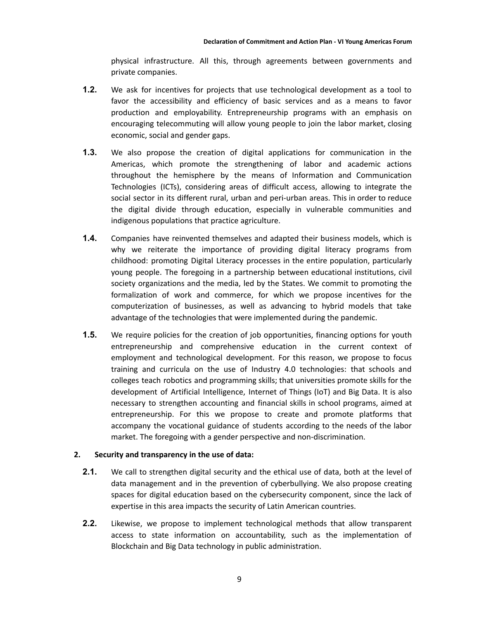physical infrastructure. All this, through agreements between governments and private companies.

- **1.2.** We ask for incentives for projects that use technological development as a tool to favor the accessibility and efficiency of basic services and as a means to favor production and employability. Entrepreneurship programs with an emphasis on encouraging telecommuting will allow young people to join the labor market, closing economic, social and gender gaps.
- **1.3.** We also propose the creation of digital applications for communication in the Americas, which promote the strengthening of labor and academic actions throughout the hemisphere by the means of Information and Communication Technologies (ICTs), considering areas of difficult access, allowing to integrate the social sector in its different rural, urban and peri-urban areas. This in order to reduce the digital divide through education, especially in vulnerable communities and indigenous populations that practice agriculture.
- **1.4.** Companies have reinvented themselves and adapted their business models, which is why we reiterate the importance of providing digital literacy programs from childhood: promoting Digital Literacy processes in the entire population, particularly young people. The foregoing in a partnership between educational institutions, civil society organizations and the media, led by the States. We commit to promoting the formalization of work and commerce, for which we propose incentives for the computerization of businesses, as well as advancing to hybrid models that take advantage of the technologies that were implemented during the pandemic.
- **1.5.** We require policies for the creation of job opportunities, financing options for youth entrepreneurship and comprehensive education in the current context of employment and technological development. For this reason, we propose to focus training and curricula on the use of Industry 4.0 technologies: that schools and colleges teach robotics and programming skills; that universities promote skills for the development of Artificial Intelligence, Internet of Things (IoT) and Big Data. It is also necessary to strengthen accounting and financial skills in school programs, aimed at entrepreneurship. For this we propose to create and promote platforms that accompany the vocational guidance of students according to the needs of the labor market. The foregoing with a gender perspective and non-discrimination.

## **2. Security and transparency in the use of data:**

- **2.1.** We call to strengthen digital security and the ethical use of data, both at the level of data management and in the prevention of cyberbullying. We also propose creating spaces for digital education based on the cybersecurity component, since the lack of expertise in this area impacts the security of Latin American countries.
- **2.2.** Likewise, we propose to implement technological methods that allow transparent access to state information on accountability, such as the implementation of Blockchain and Big Data technology in public administration.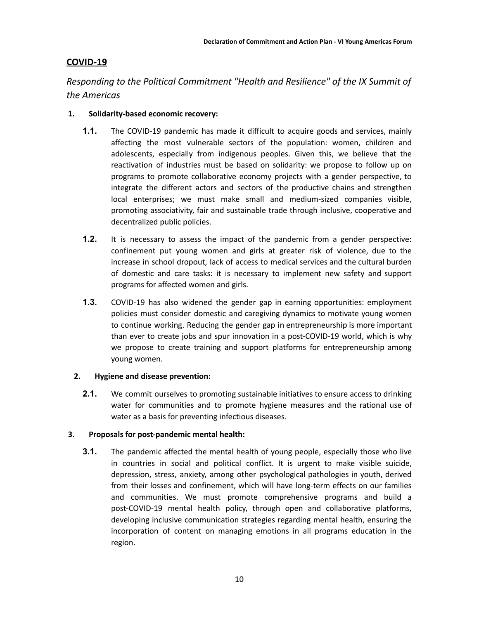## **COVID-19**

*Responding to the Political Commitment "Health and Resilience" of the IX Summit of the Americas*

## **1. Solidarity-based economic recovery:**

- **1.1.** The COVID-19 pandemic has made it difficult to acquire goods and services, mainly affecting the most vulnerable sectors of the population: women, children and adolescents, especially from indigenous peoples. Given this, we believe that the reactivation of industries must be based on solidarity: we propose to follow up on programs to promote collaborative economy projects with a gender perspective, to integrate the different actors and sectors of the productive chains and strengthen local enterprises; we must make small and medium-sized companies visible, promoting associativity, fair and sustainable trade through inclusive, cooperative and decentralized public policies.
- **1.2.** It is necessary to assess the impact of the pandemic from a gender perspective: confinement put young women and girls at greater risk of violence, due to the increase in school dropout, lack of access to medical services and the cultural burden of domestic and care tasks: it is necessary to implement new safety and support programs for affected women and girls.
- **1.3.** COVID-19 has also widened the gender gap in earning opportunities: employment policies must consider domestic and caregiving dynamics to motivate young women to continue working. Reducing the gender gap in entrepreneurship is more important than ever to create jobs and spur innovation in a post-COVID-19 world, which is why we propose to create training and support platforms for entrepreneurship among young women.

## **2. Hygiene and disease prevention:**

**2.1.** We commit ourselves to promoting sustainable initiatives to ensure access to drinking water for communities and to promote hygiene measures and the rational use of water as a basis for preventing infectious diseases.

## **3. Proposals for post-pandemic mental health:**

**3.1.** The pandemic affected the mental health of young people, especially those who live in countries in social and political conflict. It is urgent to make visible suicide, depression, stress, anxiety, among other psychological pathologies in youth, derived from their losses and confinement, which will have long-term effects on our families and communities. We must promote comprehensive programs and build a post-COVID-19 mental health policy, through open and collaborative platforms, developing inclusive communication strategies regarding mental health, ensuring the incorporation of content on managing emotions in all programs education in the region.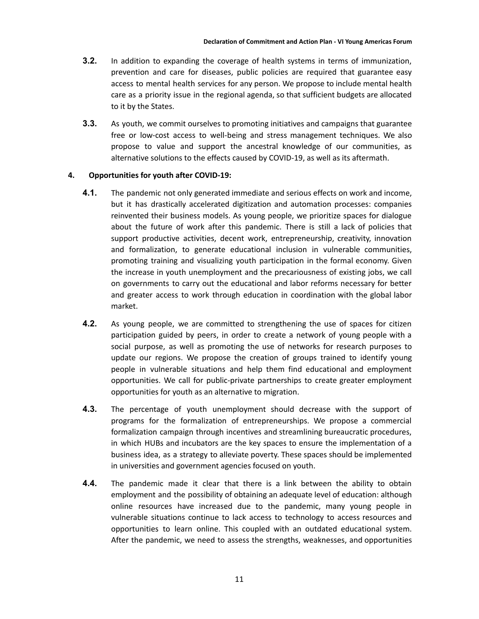- **3.2.** In addition to expanding the coverage of health systems in terms of immunization, prevention and care for diseases, public policies are required that guarantee easy access to mental health services for any person. We propose to include mental health care as a priority issue in the regional agenda, so that sufficient budgets are allocated to it by the States.
- **3.3.** As youth, we commit ourselves to promoting initiatives and campaigns that guarantee free or low-cost access to well-being and stress management techniques. We also propose to value and support the ancestral knowledge of our communities, as alternative solutions to the effects caused by COVID-19, as well as its aftermath.

#### **4. Opportunities for youth after COVID-19:**

- **4.1.** The pandemic not only generated immediate and serious effects on work and income, but it has drastically accelerated digitization and automation processes: companies reinvented their business models. As young people, we prioritize spaces for dialogue about the future of work after this pandemic. There is still a lack of policies that support productive activities, decent work, entrepreneurship, creativity, innovation and formalization, to generate educational inclusion in vulnerable communities, promoting training and visualizing youth participation in the formal economy. Given the increase in youth unemployment and the precariousness of existing jobs, we call on governments to carry out the educational and labor reforms necessary for better and greater access to work through education in coordination with the global labor market.
- **4.2.** As young people, we are committed to strengthening the use of spaces for citizen participation guided by peers, in order to create a network of young people with a social purpose, as well as promoting the use of networks for research purposes to update our regions. We propose the creation of groups trained to identify young people in vulnerable situations and help them find educational and employment opportunities. We call for public-private partnerships to create greater employment opportunities for youth as an alternative to migration.
- **4.3.** The percentage of youth unemployment should decrease with the support of programs for the formalization of entrepreneurships. We propose a commercial formalization campaign through incentives and streamlining bureaucratic procedures, in which HUBs and incubators are the key spaces to ensure the implementation of a business idea, as a strategy to alleviate poverty. These spaces should be implemented in universities and government agencies focused on youth.
- **4.4.** The pandemic made it clear that there is a link between the ability to obtain employment and the possibility of obtaining an adequate level of education: although online resources have increased due to the pandemic, many young people in vulnerable situations continue to lack access to technology to access resources and opportunities to learn online. This coupled with an outdated educational system. After the pandemic, we need to assess the strengths, weaknesses, and opportunities